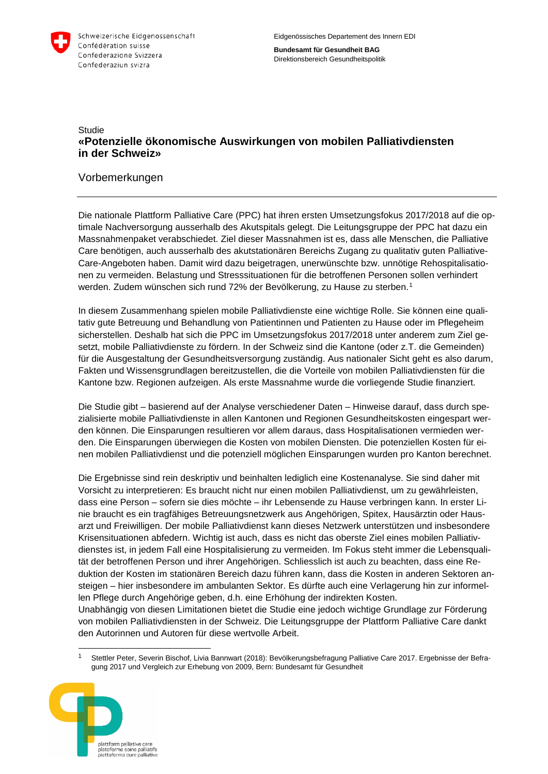

**Bundesamt für Gesundheit BAG** Direktionsbereich Gesundheitspolitik

#### **Studie «Potenzielle ökonomische Auswirkungen von mobilen Palliativdiensten in der Schweiz»**

#### Vorbemerkungen

Die nationale Plattform Palliative Care (PPC) hat ihren ersten Umsetzungsfokus 2017/2018 auf die optimale Nachversorgung ausserhalb des Akutspitals gelegt. Die Leitungsgruppe der PPC hat dazu ein Massnahmenpaket verabschiedet. Ziel dieser Massnahmen ist es, dass alle Menschen, die Palliative Care benötigen, auch ausserhalb des akutstationären Bereichs Zugang zu qualitativ guten Palliative-Care-Angeboten haben. Damit wird dazu beigetragen, unerwünschte bzw. unnötige Rehospitalisationen zu vermeiden. Belastung und Stresssituationen für die betroffenen Personen sollen verhindert werden. Zudem wünschen sich rund 72% der Bevölkerung, zu Hause zu sterben.<sup>[1](#page-0-0)</sup>

In diesem Zusammenhang spielen mobile Palliativdienste eine wichtige Rolle. Sie können eine qualitativ gute Betreuung und Behandlung von Patientinnen und Patienten zu Hause oder im Pflegeheim sicherstellen. Deshalb hat sich die PPC im Umsetzungsfokus 2017/2018 unter anderem zum Ziel gesetzt, mobile Palliativdienste zu fördern. In der Schweiz sind die Kantone (oder z.T. die Gemeinden) für die Ausgestaltung der Gesundheitsversorgung zuständig. Aus nationaler Sicht geht es also darum, Fakten und Wissensgrundlagen bereitzustellen, die die Vorteile von mobilen Palliativdiensten für die Kantone bzw. Regionen aufzeigen. Als erste Massnahme wurde die vorliegende Studie finanziert.

Die Studie gibt – basierend auf der Analyse verschiedener Daten – Hinweise darauf, dass durch spezialisierte mobile Palliativdienste in allen Kantonen und Regionen Gesundheitskosten eingespart werden können. Die Einsparungen resultieren vor allem daraus, dass Hospitalisationen vermieden werden. Die Einsparungen überwiegen die Kosten von mobilen Diensten. Die potenziellen Kosten für einen mobilen Palliativdienst und die potenziell möglichen Einsparungen wurden pro Kanton berechnet.

Die Ergebnisse sind rein deskriptiv und beinhalten lediglich eine Kostenanalyse. Sie sind daher mit Vorsicht zu interpretieren: Es braucht nicht nur einen mobilen Palliativdienst, um zu gewährleisten, dass eine Person – sofern sie dies möchte – ihr Lebensende zu Hause verbringen kann. In erster Linie braucht es ein tragfähiges Betreuungsnetzwerk aus Angehörigen, Spitex, Hausärztin oder Hausarzt und Freiwilligen. Der mobile Palliativdienst kann dieses Netzwerk unterstützen und insbesondere Krisensituationen abfedern. Wichtig ist auch, dass es nicht das oberste Ziel eines mobilen Palliativdienstes ist, in jedem Fall eine Hospitalisierung zu vermeiden. Im Fokus steht immer die Lebensqualität der betroffenen Person und ihrer Angehörigen. Schliesslich ist auch zu beachten, dass eine Reduktion der Kosten im stationären Bereich dazu führen kann, dass die Kosten in anderen Sektoren ansteigen – hier insbesondere im ambulanten Sektor. Es dürfte auch eine Verlagerung hin zur informellen Pflege durch Angehörige geben, d.h. eine Erhöhung der indirekten Kosten. Unabhängig von diesen Limitationen bietet die Studie eine jedoch wichtige Grundlage zur Förderung von mobilen Palliativdiensten in der Schweiz. Die Leitungsgruppe der Plattform Palliative Care dankt

 1 Stettler Peter, Severin Bischof, Livia Bannwart (2018): Bevölkerungsbefragung Palliative Care 2017. Ergebnisse der Befragung 2017 und Vergleich zur Erhebung von 2009, Bern: Bundesamt für Gesundheit

den Autorinnen und Autoren für diese wertvolle Arbeit.

<span id="page-0-0"></span>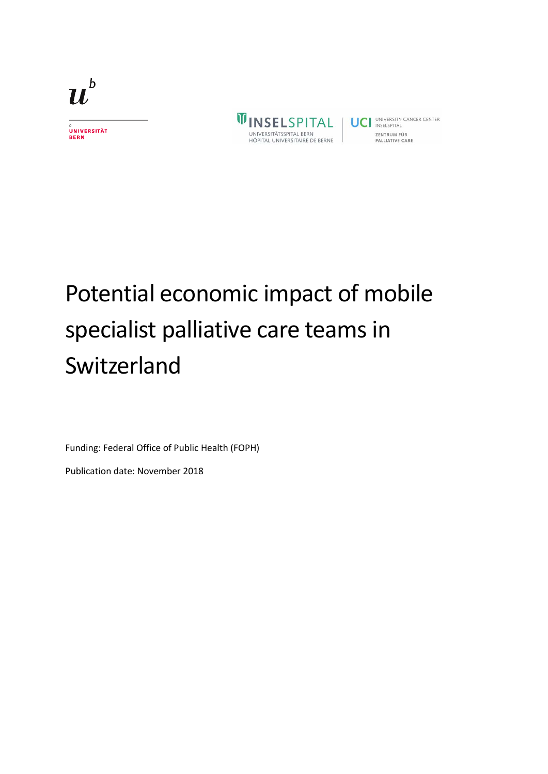

b<br>Universität<br>Bern

**WINSELSPITAL** universitätsspital bern<br>hôpital universitaire de berne

UCI UNIVERSITY CANCER CENTER ZENTRUM FÜR PALLIATIVE CARE

# Potential economic impact of mobile specialist palliative care teams in Switzerland

Funding: Federal Office of Public Health (FOPH)

Publication date: November 2018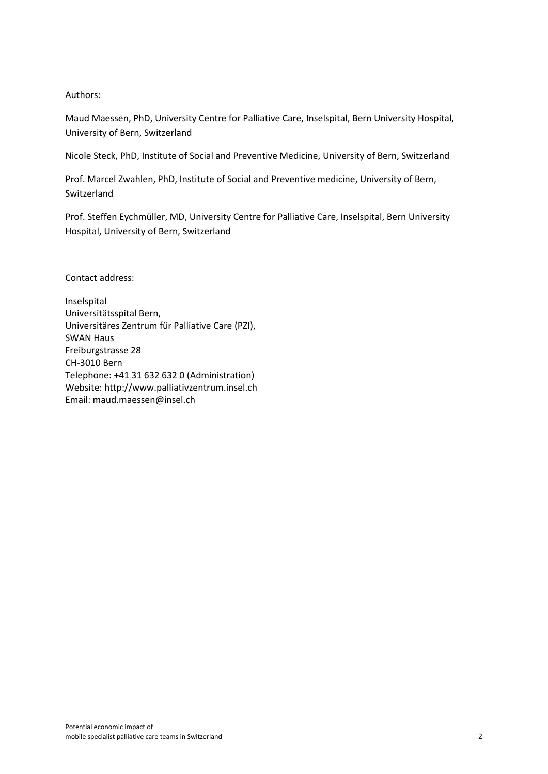#### Authors:

Maud Maessen, PhD, University Centre for Palliative Care, Inselspital, Bern University Hospital, University of Bern, Switzerland

Nicole Steck, PhD, Institute of Social and Preventive Medicine, University of Bern, Switzerland

Prof. Marcel Zwahlen, PhD, Institute of Social and Preventive medicine, University of Bern, Switzerland

Prof. Steffen Eychmüller, MD, University Centre for Palliative Care, Inselspital, Bern University Hospital, University of Bern, Switzerland

Contact address:

Inselspital Universitätsspital Bern, Universitäres Zentrum für Palliative Care (PZI), SWAN Haus Freiburgstrasse 28 CH-3010 Bern Telephone: +41 31 632 632 0 (Administration) Website: [http://www.palliativzentrum.insel.ch](http://www.palliativzentrum.insel.ch/) Email: [maud.maessen@insel.ch](mailto:maud.maessen@insel.ch)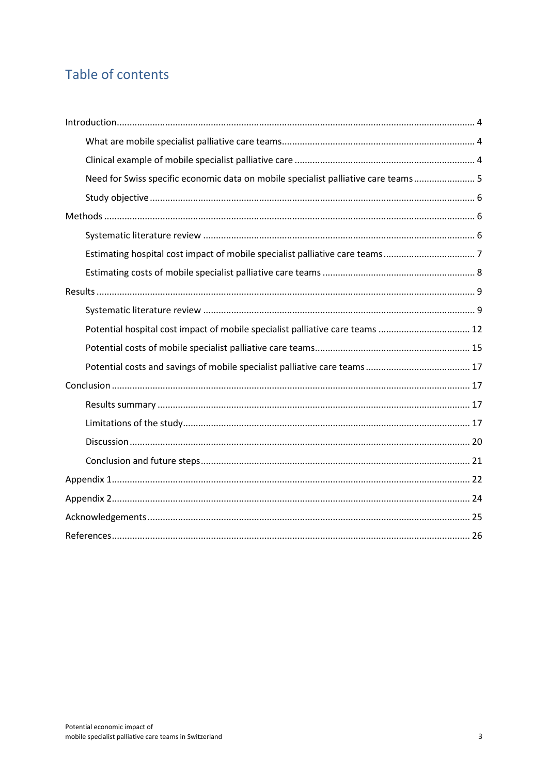# Table of contents

| Need for Swiss specific economic data on mobile specialist palliative care teams 5 |
|------------------------------------------------------------------------------------|
|                                                                                    |
|                                                                                    |
|                                                                                    |
|                                                                                    |
|                                                                                    |
|                                                                                    |
|                                                                                    |
| Potential hospital cost impact of mobile specialist palliative care teams  12      |
|                                                                                    |
|                                                                                    |
|                                                                                    |
|                                                                                    |
|                                                                                    |
|                                                                                    |
|                                                                                    |
|                                                                                    |
|                                                                                    |
|                                                                                    |
|                                                                                    |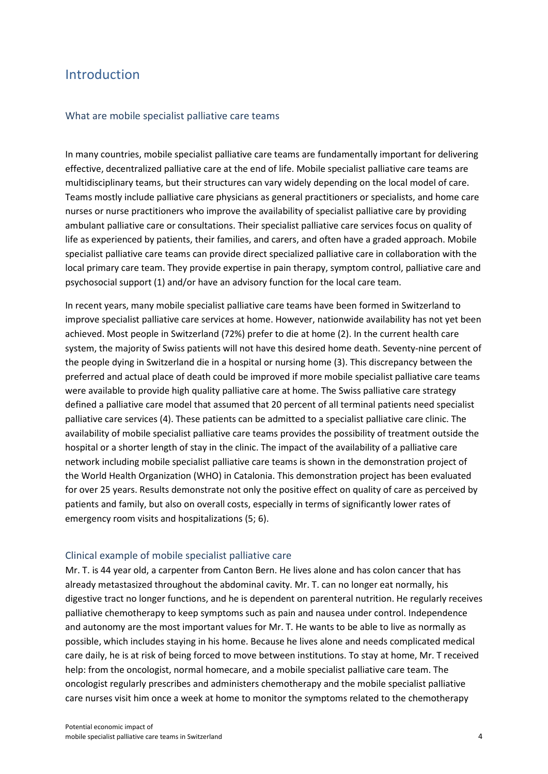## <span id="page-4-0"></span>Introduction

#### <span id="page-4-1"></span>What are mobile specialist palliative care teams

In many countries, mobile specialist palliative care teams are fundamentally important for delivering effective, decentralized palliative care at the end of life. Mobile specialist palliative care teams are multidisciplinary teams, but their structures can vary widely depending on the local model of care. Teams mostly include palliative care physicians as general practitioners or specialists, and home care nurses or nurse practitioners who improve the availability of specialist palliative care by providing ambulant palliative care or consultations. Their specialist palliative care services focus on quality of life as experienced by patients, their families, and carers, and often have a graded approach. Mobile specialist palliative care teams can provide direct specialized palliative care in collaboration with the local primary care team. They provide expertise in pain therapy, symptom control, palliative care and psychosocial support (1) and/or have an advisory function for the local care team.

In recent years, many mobile specialist palliative care teams have been formed in Switzerland to improve specialist palliative care services at home. However, nationwide availability has not yet been achieved. Most people in Switzerland (72%) prefer to die at home (2). In the current health care system, the majority of Swiss patients will not have this desired home death. Seventy-nine percent of the people dying in Switzerland die in a hospital or nursing home (3). This discrepancy between the preferred and actual place of death could be improved if more mobile specialist palliative care teams were available to provide high quality palliative care at home. The Swiss palliative care strategy defined a palliative care model that assumed that 20 percent of all terminal patients need specialist palliative care services (4). These patients can be admitted to a specialist palliative care clinic. The availability of mobile specialist palliative care teams provides the possibility of treatment outside the hospital or a shorter length of stay in the clinic. The impact of the availability of a palliative care network including mobile specialist palliative care teams is shown in the demonstration project of the World Health Organization (WHO) in Catalonia. This demonstration project has been evaluated for over 25 years. Results demonstrate not only the positive effect on quality of care as perceived by patients and family, but also on overall costs, especially in terms of significantly lower rates of emergency room visits and hospitalizations (5; 6).

#### <span id="page-4-2"></span>Clinical example of mobile specialist palliative care

Mr. T. is 44 year old, a carpenter from Canton Bern. He lives alone and has colon cancer that has already metastasized throughout the abdominal cavity. Mr. T. can no longer eat normally, his digestive tract no longer functions, and he is dependent on parenteral nutrition. He regularly receives palliative chemotherapy to keep symptoms such as pain and nausea under control. Independence and autonomy are the most important values for Mr. T. He wants to be able to live as normally as possible, which includes staying in his home. Because he lives alone and needs complicated medical care daily, he is at risk of being forced to move between institutions. To stay at home, Mr. T received help: from the oncologist, normal homecare, and a mobile specialist palliative care team. The oncologist regularly prescribes and administers chemotherapy and the mobile specialist palliative care nurses visit him once a week at home to monitor the symptoms related to the chemotherapy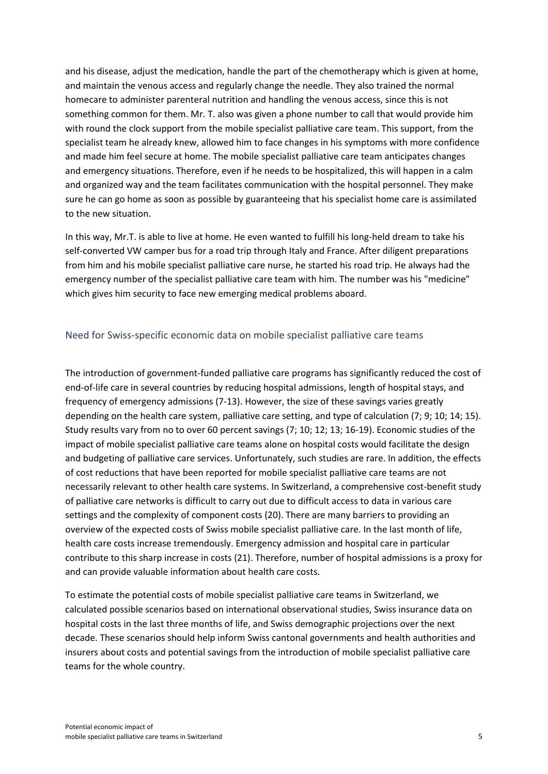and his disease, adjust the medication, handle the part of the chemotherapy which is given at home, and maintain the venous access and regularly change the needle. They also trained the normal homecare to administer parenteral nutrition and handling the venous access, since this is not something common for them. Mr. T. also was given a phone number to call that would provide him with round the clock support from the mobile specialist palliative care team. This support, from the specialist team he already knew, allowed him to face changes in his symptoms with more confidence and made him feel secure at home. The mobile specialist palliative care team anticipates changes and emergency situations. Therefore, even if he needs to be hospitalized, this will happen in a calm and organized way and the team facilitates communication with the hospital personnel. They make sure he can go home as soon as possible by guaranteeing that his specialist home care is assimilated to the new situation.

In this way, Mr.T. is able to live at home. He even wanted to fulfill his long-held dream to take his self-converted VW camper bus for a road trip through Italy and France. After diligent preparations from him and his mobile specialist palliative care nurse, he started his road trip. He always had the emergency number of the specialist palliative care team with him. The number was his "medicine" which gives him security to face new emerging medical problems aboard.

#### <span id="page-5-0"></span>Need for Swiss-specific economic data on mobile specialist palliative care teams

The introduction of government-funded palliative care programs has significantly reduced the cost of end-of-life care in several countries by reducing hospital admissions, length of hospital stays, and frequency of emergency admissions (7-13). However, the size of these savings varies greatly depending on the health care system, palliative care setting, and type of calculation (7; 9; 10; 14; 15). Study results vary from no to over 60 percent savings (7; 10; 12; 13; 16-19). Economic studies of the impact of mobile specialist palliative care teams alone on hospital costs would facilitate the design and budgeting of palliative care services. Unfortunately, such studies are rare. In addition, the effects of cost reductions that have been reported for mobile specialist palliative care teams are not necessarily relevant to other health care systems. In Switzerland, a comprehensive cost-benefit study of palliative care networks is difficult to carry out due to difficult access to data in various care settings and the complexity of component costs (20). There are many barriers to providing an overview of the expected costs of Swiss mobile specialist palliative care. In the last month of life, health care costs increase tremendously. Emergency admission and hospital care in particular contribute to this sharp increase in costs (21). Therefore, number of hospital admissions is a proxy for and can provide valuable information about health care costs.

To estimate the potential costs of mobile specialist palliative care teams in Switzerland, we calculated possible scenarios based on international observational studies, Swiss insurance data on hospital costs in the last three months of life, and Swiss demographic projections over the next decade. These scenarios should help inform Swiss cantonal governments and health authorities and insurers about costs and potential savings from the introduction of mobile specialist palliative care teams for the whole country.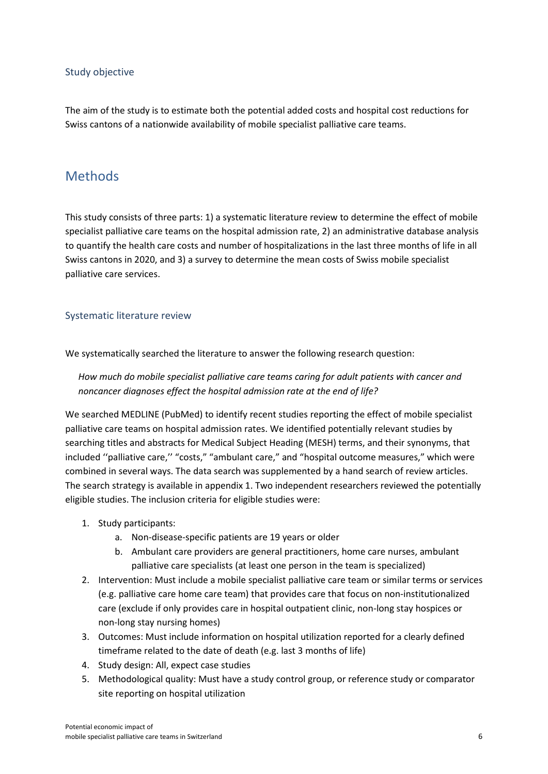#### <span id="page-6-0"></span>Study objective

The aim of the study is to estimate both the potential added costs and hospital cost reductions for Swiss cantons of a nationwide availability of mobile specialist palliative care teams.

## <span id="page-6-1"></span>Methods

This study consists of three parts: 1) a systematic literature review to determine the effect of mobile specialist palliative care teams on the hospital admission rate, 2) an administrative database analysis to quantify the health care costs and number of hospitalizations in the last three months of life in all Swiss cantons in 2020, and 3) a survey to determine the mean costs of Swiss mobile specialist palliative care services.

#### <span id="page-6-2"></span>Systematic literature review

We systematically searched the literature to answer the following research question:

*How much do mobile specialist palliative care teams caring for adult patients with cancer and noncancer diagnoses effect the hospital admission rate at the end of life?*

We searched MEDLINE (PubMed) to identify recent studies reporting the effect of mobile specialist palliative care teams on hospital admission rates. We identified potentially relevant studies by searching titles and abstracts for Medical Subject Heading (MESH) terms, and their synonyms, that included "palliative care," "costs," "ambulant care," and "hospital outcome measures," which were combined in several ways. The data search was supplemented by a hand search of review articles. The search strategy is available in appendix 1. Two independent researchers reviewed the potentially eligible studies. The inclusion criteria for eligible studies were:

- 1. Study participants:
	- a. Non-disease-specific patients are 19 years or older
	- b. Ambulant care providers are general practitioners, home care nurses, ambulant palliative care specialists (at least one person in the team is specialized)
- 2. Intervention: Must include a mobile specialist palliative care team or similar terms or services (e.g. palliative care home care team) that provides care that focus on non-institutionalized care (exclude if only provides care in hospital outpatient clinic, non-long stay hospices or non-long stay nursing homes)
- 3. Outcomes: Must include information on hospital utilization reported for a clearly defined timeframe related to the date of death (e.g. last 3 months of life)
- 4. Study design: All, expect case studies
- 5. Methodological quality: Must have a study control group, or reference study or comparator site reporting on hospital utilization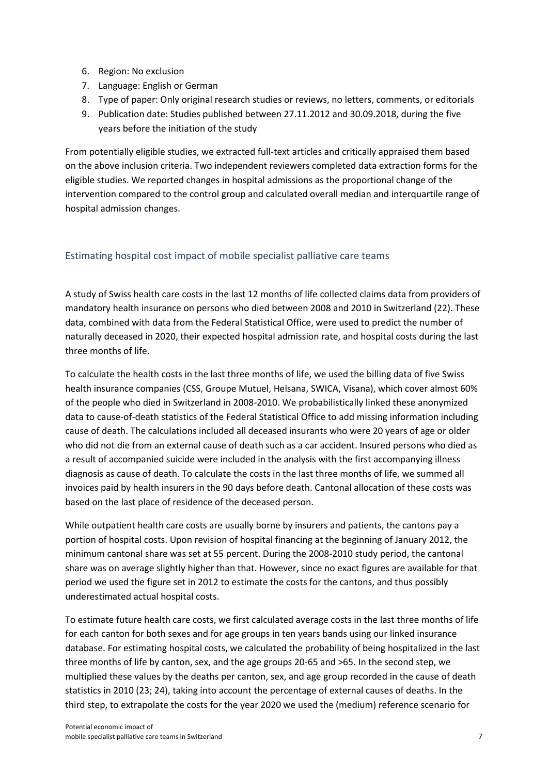- 6. Region: No exclusion
- 7. Language: English or German
- 8. Type of paper: Only original research studies or reviews, no letters, comments, or editorials
- 9. Publication date: Studies published between 27.11.2012 and 30.09.2018, during the five years before the initiation of the study

From potentially eligible studies, we extracted full-text articles and critically appraised them based on the above inclusion criteria. Two independent reviewers completed data extraction forms for the eligible studies. We reported changes in hospital admissions as the proportional change of the intervention compared to the control group and calculated overall median and interquartile range of hospital admission changes.

#### <span id="page-7-0"></span>Estimating hospital cost impact of mobile specialist palliative care teams

A study of Swiss health care costs in the last 12 months of life collected claims data from providers of mandatory health insurance on persons who died between 2008 and 2010 in Switzerland (22). These data, combined with data from the Federal Statistical Office, were used to predict the number of naturally deceased in 2020, their expected hospital admission rate, and hospital costs during the last three months of life.

To calculate the health costs in the last three months of life, we used the billing data of five Swiss health insurance companies (CSS, Groupe Mutuel, Helsana, SWICA, Visana), which cover almost 60% of the people who died in Switzerland in 2008-2010. We probabilistically linked these anonymized data to cause-of-death statistics of the Federal Statistical Office to add missing information including cause of death. The calculations included all deceased insurants who were 20 years of age or older who did not die from an external cause of death such as a car accident. Insured persons who died as a result of accompanied suicide were included in the analysis with the first accompanying illness diagnosis as cause of death. To calculate the costs in the last three months of life, we summed all invoices paid by health insurers in the 90 days before death. Cantonal allocation of these costs was based on the last place of residence of the deceased person.

While outpatient health care costs are usually borne by insurers and patients, the cantons pay a portion of hospital costs. Upon revision of hospital financing at the beginning of January 2012, the minimum cantonal share was set at 55 percent. During the 2008-2010 study period, the cantonal share was on average slightly higher than that. However, since no exact figures are available for that period we used the figure set in 2012 to estimate the costs for the cantons, and thus possibly underestimated actual hospital costs.

To estimate future health care costs, we first calculated average costs in the last three months of life for each canton for both sexes and for age groups in ten years bands using our linked insurance database. For estimating hospital costs, we calculated the probability of being hospitalized in the last three months of life by canton, sex, and the age groups 20-65 and >65. In the second step, we multiplied these values by the deaths per canton, sex, and age group recorded in the cause of death statistics in 2010 (23; 24), taking into account the percentage of external causes of deaths. In the third step, to extrapolate the costs for the year 2020 we used the (medium) reference scenario for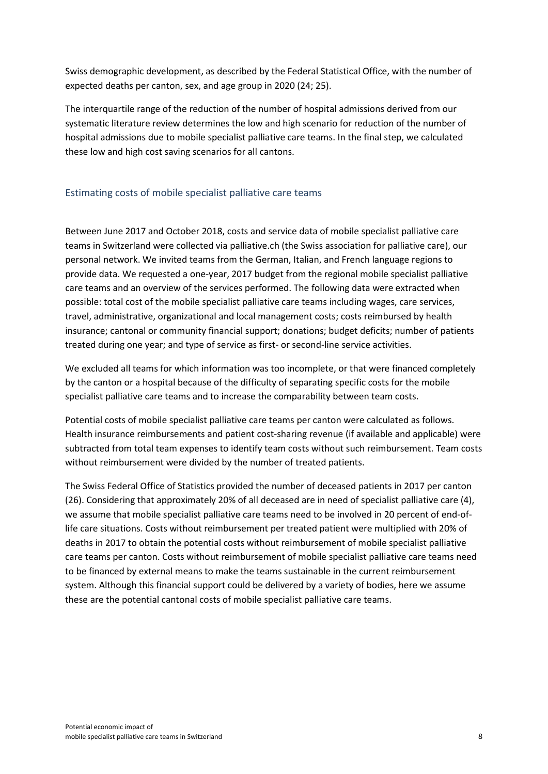Swiss demographic development, as described by the Federal Statistical Office, with the number of expected deaths per canton, sex, and age group in 2020 (24; 25).

The interquartile range of the reduction of the number of hospital admissions derived from our systematic literature review determines the low and high scenario for reduction of the number of hospital admissions due to mobile specialist palliative care teams. In the final step, we calculated these low and high cost saving scenarios for all cantons.

#### <span id="page-8-0"></span>Estimating costs of mobile specialist palliative care teams

Between June 2017 and October 2018, costs and service data of mobile specialist palliative care teams in Switzerland were collected via palliative.ch (the Swiss association for palliative care), our personal network. We invited teams from the German, Italian, and French language regions to provide data. We requested a one-year, 2017 budget from the regional mobile specialist palliative care teams and an overview of the services performed. The following data were extracted when possible: total cost of the mobile specialist palliative care teams including wages, care services, travel, administrative, organizational and local management costs; costs reimbursed by health insurance; cantonal or community financial support; donations; budget deficits; number of patients treated during one year; and type of service as first- or second-line service activities.

We excluded all teams for which information was too incomplete, or that were financed completely by the canton or a hospital because of the difficulty of separating specific costs for the mobile specialist palliative care teams and to increase the comparability between team costs.

Potential costs of mobile specialist palliative care teams per canton were calculated as follows. Health insurance reimbursements and patient cost-sharing revenue (if available and applicable) were subtracted from total team expenses to identify team costs without such reimbursement. Team costs without reimbursement were divided by the number of treated patients.

The Swiss Federal Office of Statistics provided the number of deceased patients in 2017 per canton (26). Considering that approximately 20% of all deceased are in need of specialist palliative care (4), we assume that mobile specialist palliative care teams need to be involved in 20 percent of end-oflife care situations. Costs without reimbursement per treated patient were multiplied with 20% of deaths in 2017 to obtain the potential costs without reimbursement of mobile specialist palliative care teams per canton. Costs without reimbursement of mobile specialist palliative care teams need to be financed by external means to make the teams sustainable in the current reimbursement system. Although this financial support could be delivered by a variety of bodies, here we assume these are the potential cantonal costs of mobile specialist palliative care teams.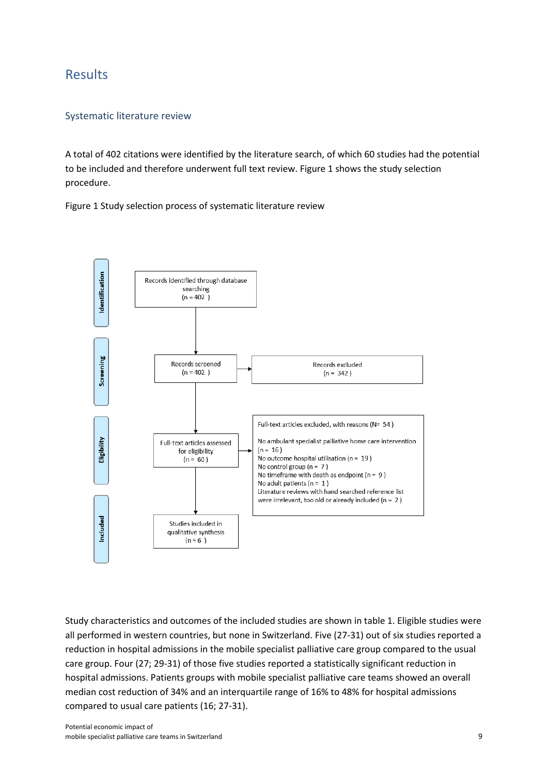### <span id="page-9-0"></span>Results

#### <span id="page-9-1"></span>Systematic literature review

A total of 402 citations were identified by the literature search, of which 60 studies had the potential to be included and therefore underwent full text review. Figure 1 shows the study selection procedure.

Figure 1 Study selection process of systematic literature review



Study characteristics and outcomes of the included studies are shown in table 1. Eligible studies were all performed in western countries, but none in Switzerland. Five (27-31) out of six studies reported a reduction in hospital admissions in the mobile specialist palliative care group compared to the usual care group. Four (27; 29-31) of those five studies reported a statistically significant reduction in hospital admissions. Patients groups with mobile specialist palliative care teams showed an overall median cost reduction of 34% and an interquartile range of 16% to 48% for hospital admissions compared to usual care patients (16; 27-31).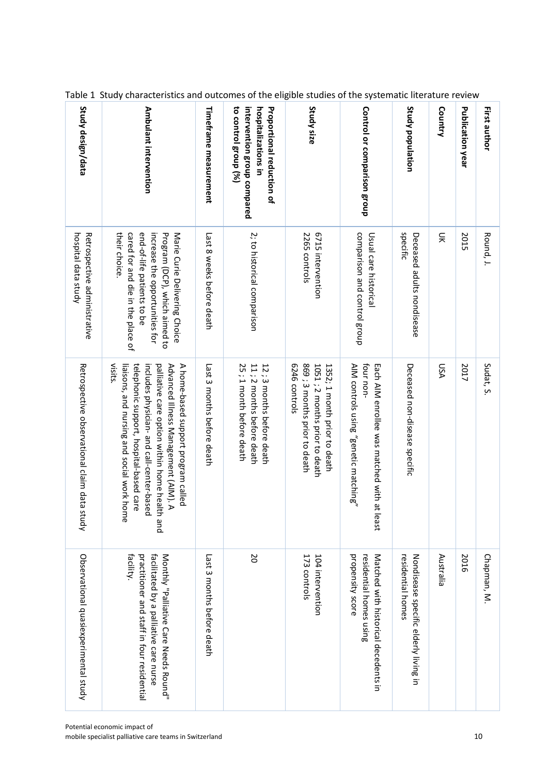| First author                                                                                                   | Round, J.                                                                                                                                                                            | Sudat, S.                                                                                                                                                                                                                                                                        | Chapman, M.                                                                                                                                 |
|----------------------------------------------------------------------------------------------------------------|--------------------------------------------------------------------------------------------------------------------------------------------------------------------------------------|----------------------------------------------------------------------------------------------------------------------------------------------------------------------------------------------------------------------------------------------------------------------------------|---------------------------------------------------------------------------------------------------------------------------------------------|
| Publication year                                                                                               | 2015                                                                                                                                                                                 | 2017                                                                                                                                                                                                                                                                             | 2016                                                                                                                                        |
| Country                                                                                                        | 듲                                                                                                                                                                                    | <b>DSA</b>                                                                                                                                                                                                                                                                       | Australia                                                                                                                                   |
| Study population                                                                                               | specific<br>Deceased addrts rordisease                                                                                                                                               | Deceased non-disease specific                                                                                                                                                                                                                                                    | Nondisease specific elderly living in<br>residential homes                                                                                  |
| Control or comparison group                                                                                    | comparison and control group<br>Usual care historical                                                                                                                                | four non-<br>Each AIM enrollee was matched with at least<br>AIM controls using "genetic matching"                                                                                                                                                                                | propensity score<br>residential homes using<br>Natched with historical decedents in                                                         |
| Study size                                                                                                     | 6715 intervention<br>2265 controls                                                                                                                                                   | 6246 controls<br>869 ; 3 months prior to death<br>1051; 2 months prior to death<br>1352; 1 month prior to death                                                                                                                                                                  | 173 controls<br>104 intervention                                                                                                            |
| to control group (%)<br>intervention group compared<br>hospitalizations in<br><b>Proportional reduction of</b> | 2; to historical comparison                                                                                                                                                          | 11; 2 months before death<br>12; 3 months before death<br>25; 1 month before death                                                                                                                                                                                               | <b>D</b>                                                                                                                                    |
| Timeframe measurement                                                                                          | Last 8 weeks before death                                                                                                                                                            | Last 3 morths before death                                                                                                                                                                                                                                                       | Last 3 months before death                                                                                                                  |
| Ambulant intervention                                                                                          | end-of-life patients to be<br>cared for and die in the place of<br>their choice.<br>increase the opportunities for<br>Program (DCP), which aimed to<br>Marie Curie Delivering Choice | visits.<br>telephonic support, hospital-based care<br>includes physician- and call-center-based<br>palliative care option within home health<br>Advanced Illness Management (AIM). A<br>A home-based support program called<br>liaisons, and nursing and social work home<br>and | practitioner and staff in four residential<br>Monthly "Palliative Care Meeds Round".<br>tacility.<br>facilitated by a palliative care nurse |
| Study design/data                                                                                              | Retrospective administrative<br>hospital data study                                                                                                                                  | Retrospective observational claim data stu<br>άρ                                                                                                                                                                                                                                 | Observational quasiexperimental study                                                                                                       |

Table 1 Study characteristics and outcomes of the eligible studies of the systematic literature review

т

т

т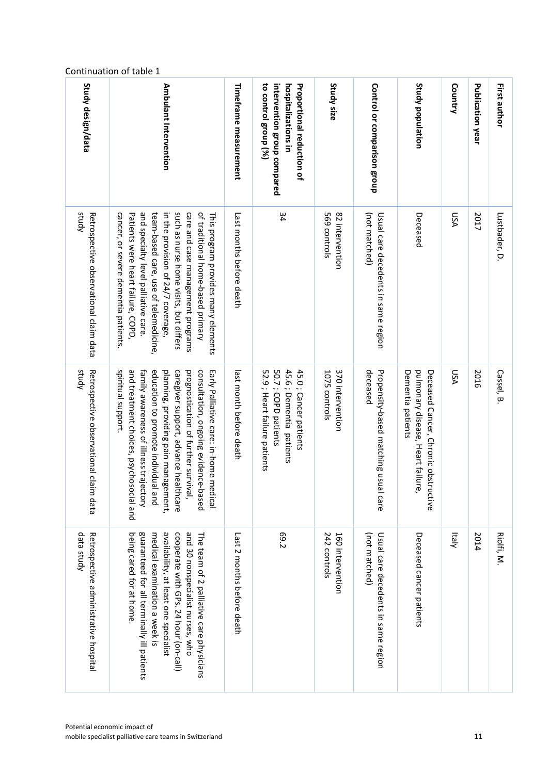| Study design/data                                   | Ambulant Intervention                                                                                                                                                                                                                                                                                                                                        | Timeframe measurement      | to control group (%)<br>intervention group compared<br>hospitalizations in<br><b>Proportional reduction of</b> | Study size                        | Control or comparison group                          | Study population                                                                               | Country    | <b>Publication year</b> | First author  |
|-----------------------------------------------------|--------------------------------------------------------------------------------------------------------------------------------------------------------------------------------------------------------------------------------------------------------------------------------------------------------------------------------------------------------------|----------------------------|----------------------------------------------------------------------------------------------------------------|-----------------------------------|------------------------------------------------------|------------------------------------------------------------------------------------------------|------------|-------------------------|---------------|
| study<br>Retrospective observational claim data     | such as nurse home visits, but differs<br>and specialty level palliative care<br>team-based care, use of telemedicine,<br>care and case management programs<br>of traditional home-based primary<br>Patients were heart failure, COPD,<br>This program provides many elements<br>cancer, or severe dementia patients.<br>in the provision of 24/7 coverage   | Last nonths before death   | 34                                                                                                             | 569 controls<br>82 intervention   | (not matched)<br>Usual care decedents in same region | Deceased                                                                                       | <b>DSA</b> | 2017                    | Lustbader, D. |
| study<br>Retrospective observational clai<br>m data | and treatment choices, psychosocial and<br>spiritual support.<br>family awareness of illness trajectory<br>education to promote individual<br>planning, providing pain management,<br>caregiver support, advance healthcare<br>prognostication of further survival,<br>consultation, ongoing evidence-based<br>Early Palliative care: in-home medical<br>pue | last nonth petore death    | 50.7; COPD patients<br>45.6 ; Dementia patients<br>52.9; Heart failure patients<br>45.0; Cancer patients       | 370 intervention<br>1075 controls | deceased<br>Propensity-based matching usual care     | Dementia patients<br>pulmonary disease, Heart failure,<br>Deceased Cancer, Chronic obstructive | ASU        | 2016                    | Cassel, B     |
| data study<br>Retrospective administrative hospital | being cared for at home<br>guaranteed for all terminally ill patients<br>availability, at least one specialist<br>and 30 nonspecialist nurses, who<br>medical examination a week is<br>cooperate with GPs. 24 hour (on-call)<br>The team of 2 palliative care physicians                                                                                     | Last 2 months before death | <b>69.2</b>                                                                                                    | 242 controls<br>160 intervention  | (not matched)<br>Usual care decedents in same region | Deceased cancer patients                                                                       | klaly      | 2014                    | Riolfi, M.    |

#### Continuation of table 1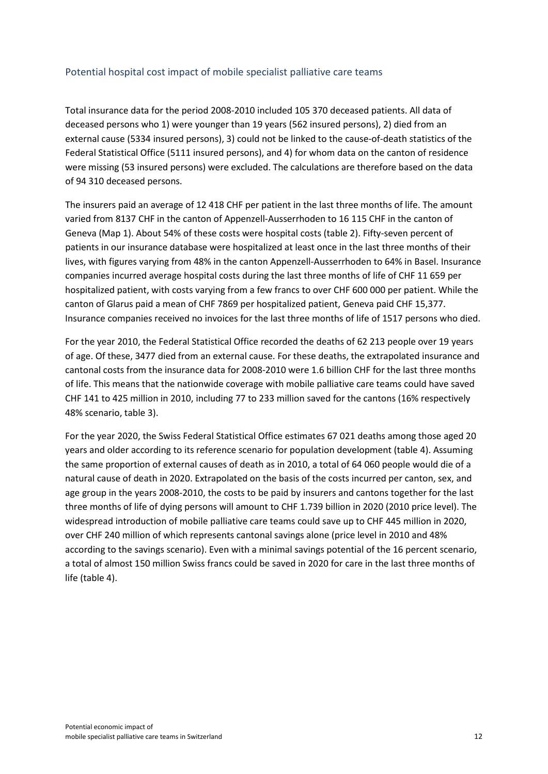#### <span id="page-12-0"></span>Potential hospital cost impact of mobile specialist palliative care teams

Total insurance data for the period 2008-2010 included 105 370 deceased patients. All data of deceased persons who 1) were younger than 19 years (562 insured persons), 2) died from an external cause (5334 insured persons), 3) could not be linked to the cause-of-death statistics of the Federal Statistical Office (5111 insured persons), and 4) for whom data on the canton of residence were missing (53 insured persons) were excluded. The calculations are therefore based on the data of 94 310 deceased persons.

The insurers paid an average of 12 418 CHF per patient in the last three months of life. The amount varied from 8137 CHF in the canton of Appenzell-Ausserrhoden to 16 115 CHF in the canton of Geneva (Map 1). About 54% of these costs were hospital costs (table 2). Fifty-seven percent of patients in our insurance database were hospitalized at least once in the last three months of their lives, with figures varying from 48% in the canton Appenzell-Ausserrhoden to 64% in Basel. Insurance companies incurred average hospital costs during the last three months of life of CHF 11 659 per hospitalized patient, with costs varying from a few francs to over CHF 600 000 per patient. While the canton of Glarus paid a mean of CHF 7869 per hospitalized patient, Geneva paid CHF 15,377. Insurance companies received no invoices for the last three months of life of 1517 persons who died.

For the year 2010, the Federal Statistical Office recorded the deaths of 62 213 people over 19 years of age. Of these, 3477 died from an external cause. For these deaths, the extrapolated insurance and cantonal costs from the insurance data for 2008-2010 were 1.6 billion CHF for the last three months of life. This means that the nationwide coverage with mobile palliative care teams could have saved CHF 141 to 425 million in 2010, including 77 to 233 million saved for the cantons (16% respectively 48% scenario, table 3).

For the year 2020, the Swiss Federal Statistical Office estimates 67 021 deaths among those aged 20 years and older according to its reference scenario for population development (table 4). Assuming the same proportion of external causes of death as in 2010, a total of 64 060 people would die of a natural cause of death in 2020. Extrapolated on the basis of the costs incurred per canton, sex, and age group in the years 2008-2010, the costs to be paid by insurers and cantons together for the last three months of life of dying persons will amount to CHF 1.739 billion in 2020 (2010 price level). The widespread introduction of mobile palliative care teams could save up to CHF 445 million in 2020, over CHF 240 million of which represents cantonal savings alone (price level in 2010 and 48% according to the savings scenario). Even with a minimal savings potential of the 16 percent scenario, a total of almost 150 million Swiss francs could be saved in 2020 for care in the last three months of life (table 4).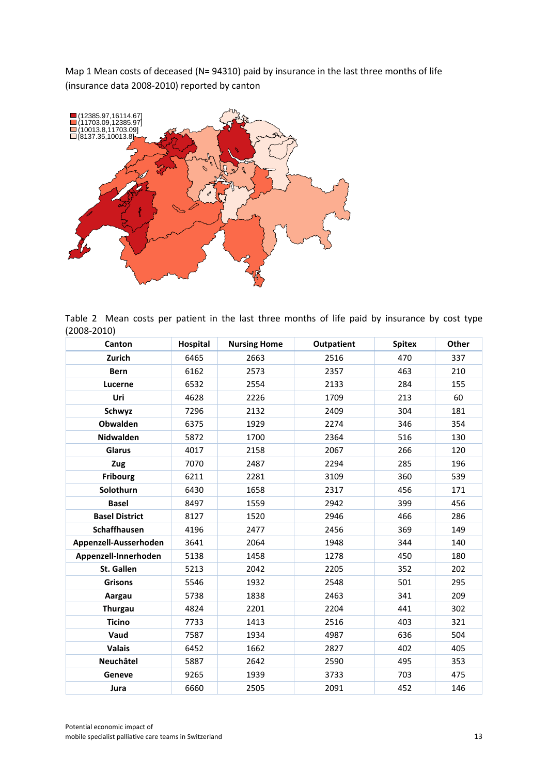Map 1 Mean costs of deceased (N= 94310) paid by insurance in the last three months of life (insurance data 2008-2010) reported by canton



Table 2 Mean costs per patient in the last three months of life paid by insurance by cost type (2008-2010)

| Canton                | Hospital | <b>Nursing Home</b> | <b>Outpatient</b> | <b>Spitex</b> | Other |
|-----------------------|----------|---------------------|-------------------|---------------|-------|
| Zurich                | 6465     | 2663                | 2516              | 470           | 337   |
| <b>Bern</b>           | 6162     | 2573                | 2357              | 463           | 210   |
| Lucerne               | 6532     | 2554                | 2133              | 284           | 155   |
| Uri                   | 4628     | 2226                | 1709              | 213           | 60    |
| Schwyz                | 7296     | 2132                | 2409              | 304           | 181   |
| <b>Obwalden</b>       | 6375     | 1929                | 2274              | 346           | 354   |
| <b>Nidwalden</b>      | 5872     | 1700                | 2364              | 516           | 130   |
| Glarus                | 4017     | 2158                | 2067              | 266           | 120   |
| Zug                   | 7070     | 2487                | 2294              | 285           | 196   |
| <b>Fribourg</b>       | 6211     | 2281                | 3109              | 360           | 539   |
| Solothurn             | 6430     | 1658                | 2317              | 456           | 171   |
| <b>Basel</b>          | 8497     | 1559                | 2942              | 399           | 456   |
| <b>Basel District</b> | 8127     | 1520                | 2946              | 466           | 286   |
| Schaffhausen          | 4196     | 2477                | 2456              | 369           | 149   |
| Appenzell-Ausserhoden | 3641     | 2064                | 1948              | 344           | 140   |
| Appenzell-Innerhoden  | 5138     | 1458                | 1278              | 450           | 180   |
| <b>St. Gallen</b>     | 5213     | 2042                | 2205              | 352           | 202   |
| <b>Grisons</b>        | 5546     | 1932                | 2548              | 501           | 295   |
| Aargau                | 5738     | 1838                | 2463              | 341           | 209   |
| <b>Thurgau</b>        | 4824     | 2201                | 2204              | 441           | 302   |
| <b>Ticino</b>         | 7733     | 1413                | 2516              | 403           | 321   |
| Vaud                  | 7587     | 1934                | 4987              | 636           | 504   |
| <b>Valais</b>         | 6452     | 1662                | 2827              | 402           | 405   |
| Neuchâtel             | 5887     | 2642                | 2590              | 495           | 353   |
| Geneve                | 9265     | 1939                | 3733              | 703           | 475   |
| Jura                  | 6660     | 2505                | 2091              | 452           | 146   |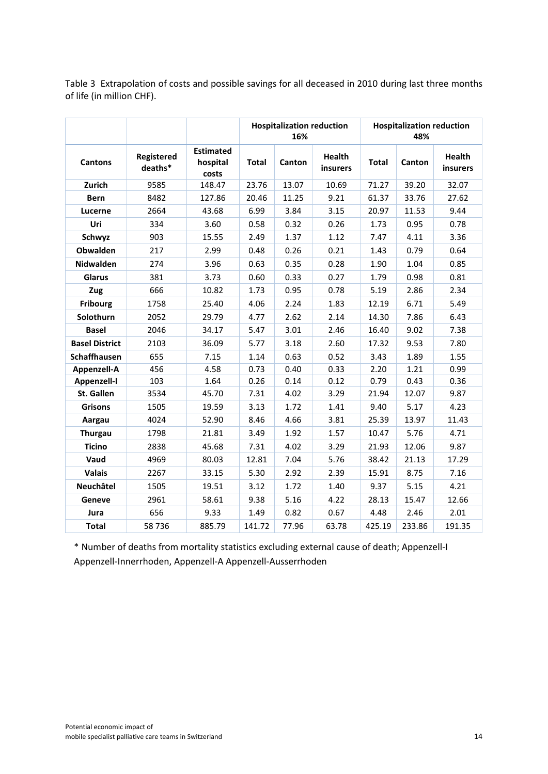Table 3 Extrapolation of costs and possible savings for all deceased in 2010 during last three months of life (in million CHF).

|                       |                       |                                       |              | <b>Hospitalization reduction</b><br>16% |                           |              | <b>Hospitalization reduction</b><br>48% |                           |
|-----------------------|-----------------------|---------------------------------------|--------------|-----------------------------------------|---------------------------|--------------|-----------------------------------------|---------------------------|
| <b>Cantons</b>        | Registered<br>deaths* | <b>Estimated</b><br>hospital<br>costs | <b>Total</b> | Canton                                  | <b>Health</b><br>insurers | <b>Total</b> | Canton                                  | <b>Health</b><br>insurers |
| Zurich                | 9585                  | 148.47                                | 23.76        | 13.07                                   | 10.69                     | 71.27        | 39.20                                   | 32.07                     |
| <b>Bern</b>           | 8482                  | 127.86                                | 20.46        | 11.25                                   | 9.21                      | 61.37        | 33.76                                   | 27.62                     |
| Lucerne               | 2664                  | 43.68                                 | 6.99         | 3.84                                    | 3.15                      | 20.97        | 11.53                                   | 9.44                      |
| Uri                   | 334                   | 3.60                                  | 0.58         | 0.32                                    | 0.26                      | 1.73         | 0.95                                    | 0.78                      |
| Schwyz                | 903                   | 15.55                                 | 2.49         | 1.37                                    | 1.12                      | 7.47         | 4.11                                    | 3.36                      |
| Obwalden              | 217                   | 2.99                                  | 0.48         | 0.26                                    | 0.21                      | 1.43         | 0.79                                    | 0.64                      |
| <b>Nidwalden</b>      | 274                   | 3.96                                  | 0.63         | 0.35                                    | 0.28                      | 1.90         | 1.04                                    | 0.85                      |
| Glarus                | 381                   | 3.73                                  | 0.60         | 0.33                                    | 0.27                      | 1.79         | 0.98                                    | 0.81                      |
| Zug                   | 666                   | 10.82                                 | 1.73         | 0.95                                    | 0.78                      | 5.19         | 2.86                                    | 2.34                      |
| <b>Fribourg</b>       | 1758                  | 25.40                                 | 4.06         | 2.24                                    | 1.83                      | 12.19        | 6.71                                    | 5.49                      |
| Solothurn             | 2052                  | 29.79                                 | 4.77         | 2.62                                    | 2.14                      | 14.30        | 7.86                                    | 6.43                      |
| <b>Basel</b>          | 2046                  | 34.17                                 | 5.47         | 3.01                                    | 2.46                      | 16.40        | 9.02                                    | 7.38                      |
| <b>Basel District</b> | 2103                  | 36.09                                 | 5.77         | 3.18                                    | 2.60                      | 17.32        | 9.53                                    | 7.80                      |
| <b>Schaffhausen</b>   | 655                   | 7.15                                  | 1.14         | 0.63                                    | 0.52                      | 3.43         | 1.89                                    | 1.55                      |
| Appenzell-A           | 456                   | 4.58                                  | 0.73         | 0.40                                    | 0.33                      | 2.20         | 1.21                                    | 0.99                      |
| Appenzell-I           | 103                   | 1.64                                  | 0.26         | 0.14                                    | 0.12                      | 0.79         | 0.43                                    | 0.36                      |
| <b>St. Gallen</b>     | 3534                  | 45.70                                 | 7.31         | 4.02                                    | 3.29                      | 21.94        | 12.07                                   | 9.87                      |
| <b>Grisons</b>        | 1505                  | 19.59                                 | 3.13         | 1.72                                    | 1.41                      | 9.40         | 5.17                                    | 4.23                      |
| Aargau                | 4024                  | 52.90                                 | 8.46         | 4.66                                    | 3.81                      | 25.39        | 13.97                                   | 11.43                     |
| <b>Thurgau</b>        | 1798                  | 21.81                                 | 3.49         | 1.92                                    | 1.57                      | 10.47        | 5.76                                    | 4.71                      |
| <b>Ticino</b>         | 2838                  | 45.68                                 | 7.31         | 4.02                                    | 3.29                      | 21.93        | 12.06                                   | 9.87                      |
| Vaud                  | 4969                  | 80.03                                 | 12.81        | 7.04                                    | 5.76                      | 38.42        | 21.13                                   | 17.29                     |
| <b>Valais</b>         | 2267                  | 33.15                                 | 5.30         | 2.92                                    | 2.39                      | 15.91        | 8.75                                    | 7.16                      |
| Neuchâtel             | 1505                  | 19.51                                 | 3.12         | 1.72                                    | 1.40                      | 9.37         | 5.15                                    | 4.21                      |
| Geneve                | 2961                  | 58.61                                 | 9.38         | 5.16                                    | 4.22                      | 28.13        | 15.47                                   | 12.66                     |
| Jura                  | 656                   | 9.33                                  | 1.49         | 0.82                                    | 0.67                      | 4.48         | 2.46                                    | 2.01                      |
| <b>Total</b>          | 58 736                | 885.79                                | 141.72       | 77.96                                   | 63.78                     | 425.19       | 233.86                                  | 191.35                    |

\* Number of deaths from mortality statistics excluding external cause of death; Appenzell-I Appenzell-Innerrhoden, Appenzell-A Appenzell-Ausserrhoden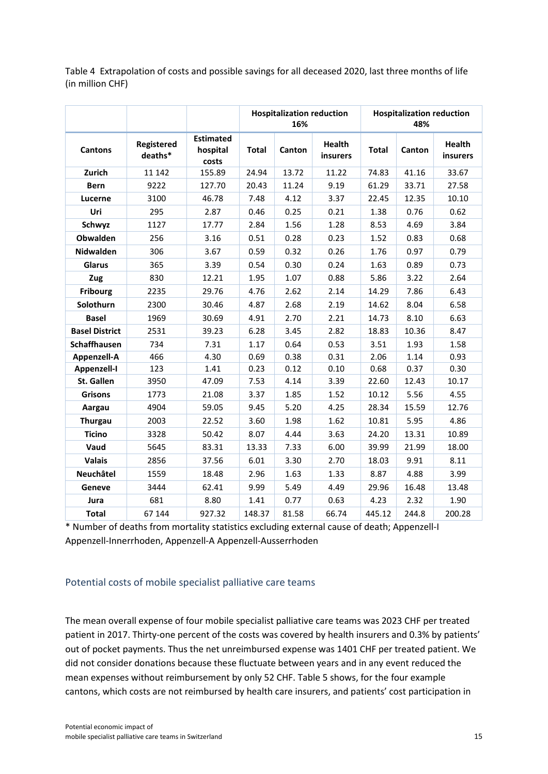Table 4 Extrapolation of costs and possible savings for all deceased 2020, last three months of life (in million CHF)

|                       |                       |                                       |              | <b>Hospitalization reduction</b><br>16% |                           |              | <b>Hospitalization reduction</b><br>48% |                                  |
|-----------------------|-----------------------|---------------------------------------|--------------|-----------------------------------------|---------------------------|--------------|-----------------------------------------|----------------------------------|
| <b>Cantons</b>        | Registered<br>deaths* | <b>Estimated</b><br>hospital<br>costs | <b>Total</b> | Canton                                  | <b>Health</b><br>insurers | <b>Total</b> | Canton                                  | <b>Health</b><br><i>insurers</i> |
| Zurich                | 11 142                | 155.89                                | 24.94        | 13.72                                   | 11.22                     | 74.83        | 41.16                                   | 33.67                            |
| <b>Bern</b>           | 9222                  | 127.70                                | 20.43        | 11.24                                   | 9.19                      | 61.29        | 33.71                                   | 27.58                            |
| Lucerne               | 3100                  | 46.78                                 | 7.48         | 4.12                                    | 3.37                      | 22.45        | 12.35                                   | 10.10                            |
| Uri                   | 295                   | 2.87                                  | 0.46         | 0.25                                    | 0.21                      | 1.38         | 0.76                                    | 0.62                             |
| Schwyz                | 1127                  | 17.77                                 | 2.84         | 1.56                                    | 1.28                      | 8.53         | 4.69                                    | 3.84                             |
| Obwalden              | 256                   | 3.16                                  | 0.51         | 0.28                                    | 0.23                      | 1.52         | 0.83                                    | 0.68                             |
| Nidwalden             | 306                   | 3.67                                  | 0.59         | 0.32                                    | 0.26                      | 1.76         | 0.97                                    | 0.79                             |
| Glarus                | 365                   | 3.39                                  | 0.54         | 0.30                                    | 0.24                      | 1.63         | 0.89                                    | 0.73                             |
| Zug                   | 830                   | 12.21                                 | 1.95         | 1.07                                    | 0.88                      | 5.86         | 3.22                                    | 2.64                             |
| <b>Fribourg</b>       | 2235                  | 29.76                                 | 4.76         | 2.62                                    | 2.14                      | 14.29        | 7.86                                    | 6.43                             |
| Solothurn             | 2300                  | 30.46                                 | 4.87         | 2.68                                    | 2.19                      | 14.62        | 8.04                                    | 6.58                             |
| <b>Basel</b>          | 1969                  | 30.69                                 | 4.91         | 2.70                                    | 2.21                      | 14.73        | 8.10                                    | 6.63                             |
| <b>Basel District</b> | 2531                  | 39.23                                 | 6.28         | 3.45                                    | 2.82                      | 18.83        | 10.36                                   | 8.47                             |
| <b>Schaffhausen</b>   | 734                   | 7.31                                  | 1.17         | 0.64                                    | 0.53                      | 3.51         | 1.93                                    | 1.58                             |
| Appenzell-A           | 466                   | 4.30                                  | 0.69         | 0.38                                    | 0.31                      | 2.06         | 1.14                                    | 0.93                             |
| <b>Appenzell-I</b>    | 123                   | 1.41                                  | 0.23         | 0.12                                    | 0.10                      | 0.68         | 0.37                                    | 0.30                             |
| St. Gallen            | 3950                  | 47.09                                 | 7.53         | 4.14                                    | 3.39                      | 22.60        | 12.43                                   | 10.17                            |
| <b>Grisons</b>        | 1773                  | 21.08                                 | 3.37         | 1.85                                    | 1.52                      | 10.12        | 5.56                                    | 4.55                             |
| Aargau                | 4904                  | 59.05                                 | 9.45         | 5.20                                    | 4.25                      | 28.34        | 15.59                                   | 12.76                            |
| <b>Thurgau</b>        | 2003                  | 22.52                                 | 3.60         | 1.98                                    | 1.62                      | 10.81        | 5.95                                    | 4.86                             |
| <b>Ticino</b>         | 3328                  | 50.42                                 | 8.07         | 4.44                                    | 3.63                      | 24.20        | 13.31                                   | 10.89                            |
| Vaud                  | 5645                  | 83.31                                 | 13.33        | 7.33                                    | 6.00                      | 39.99        | 21.99                                   | 18.00                            |
| <b>Valais</b>         | 2856                  | 37.56                                 | 6.01         | 3.30                                    | 2.70                      | 18.03        | 9.91                                    | 8.11                             |
| Neuchâtel             | 1559                  | 18.48                                 | 2.96         | 1.63                                    | 1.33                      | 8.87         | 4.88                                    | 3.99                             |
| Geneve                | 3444                  | 62.41                                 | 9.99         | 5.49                                    | 4.49                      | 29.96        | 16.48                                   | 13.48                            |
| Jura                  | 681                   | 8.80                                  | 1.41         | 0.77                                    | 0.63                      | 4.23         | 2.32                                    | 1.90                             |
| <b>Total</b>          | 67 144                | 927.32                                | 148.37       | 81.58                                   | 66.74                     | 445.12       | 244.8                                   | 200.28                           |

\* Number of deaths from mortality statistics excluding external cause of death; Appenzell-I Appenzell-Innerrhoden, Appenzell-A Appenzell-Ausserrhoden

#### <span id="page-15-0"></span>Potential costs of mobile specialist palliative care teams

The mean overall expense of four mobile specialist palliative care teams was 2023 CHF per treated patient in 2017. Thirty-one percent of the costs was covered by health insurers and 0.3% by patients' out of pocket payments. Thus the net unreimbursed expense was 1401 CHF per treated patient. We did not consider donations because these fluctuate between years and in any event reduced the mean expenses without reimbursement by only 52 CHF. Table 5 shows, for the four example cantons, which costs are not reimbursed by health care insurers, and patients' cost participation in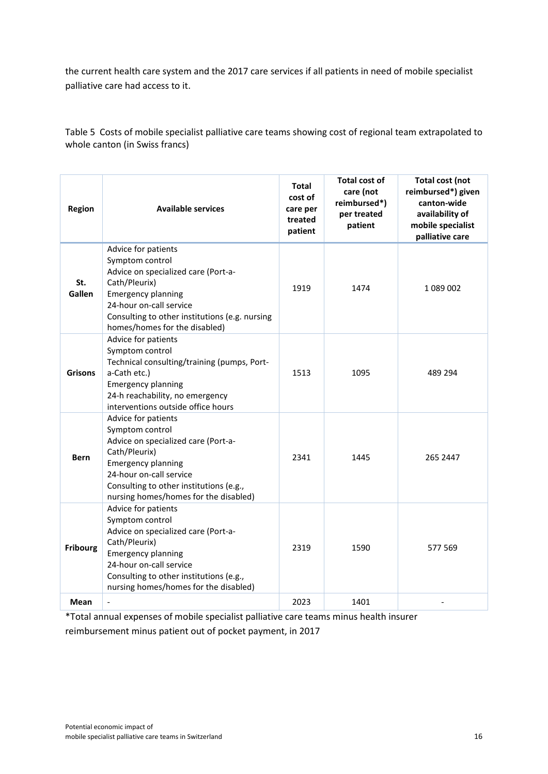the current health care system and the 2017 care services if all patients in need of mobile specialist palliative care had access to it.

Table 5 Costs of mobile specialist palliative care teams showing cost of regional team extrapolated to whole canton (in Swiss francs)

| <b>Region</b>   | <b>Available services</b>                                                                                                                                                                                                                  | <b>Total</b><br>cost of<br>care per<br>treated<br>patient | <b>Total cost of</b><br>care (not<br>reimbursed*)<br>per treated<br>patient | <b>Total cost (not</b><br>reimbursed*) given<br>canton-wide<br>availability of<br>mobile specialist<br>palliative care |
|-----------------|--------------------------------------------------------------------------------------------------------------------------------------------------------------------------------------------------------------------------------------------|-----------------------------------------------------------|-----------------------------------------------------------------------------|------------------------------------------------------------------------------------------------------------------------|
| St.<br>Gallen   | Advice for patients<br>Symptom control<br>Advice on specialized care (Port-a-<br>Cath/Pleurix)<br><b>Emergency planning</b><br>24-hour on-call service<br>Consulting to other institutions (e.g. nursing<br>homes/homes for the disabled)  | 1919                                                      | 1474                                                                        | 1089002                                                                                                                |
| <b>Grisons</b>  | Advice for patients<br>Symptom control<br>Technical consulting/training (pumps, Port-<br>a-Cath etc.)<br><b>Emergency planning</b><br>24-h reachability, no emergency<br>interventions outside office hours                                | 1513                                                      | 1095                                                                        | 489 294                                                                                                                |
| <b>Bern</b>     | Advice for patients<br>Symptom control<br>Advice on specialized care (Port-a-<br>Cath/Pleurix)<br><b>Emergency planning</b><br>24-hour on-call service<br>Consulting to other institutions (e.g.,<br>nursing homes/homes for the disabled) | 2341                                                      | 1445                                                                        | 265 2447                                                                                                               |
| <b>Fribourg</b> | Advice for patients<br>Symptom control<br>Advice on specialized care (Port-a-<br>Cath/Pleurix)<br><b>Emergency planning</b><br>24-hour on-call service<br>Consulting to other institutions (e.g.,<br>nursing homes/homes for the disabled) | 2319                                                      | 1590                                                                        | 577 569                                                                                                                |
| Mean            | $\overline{\phantom{0}}$                                                                                                                                                                                                                   | 2023                                                      | 1401                                                                        |                                                                                                                        |

\*Total annual expenses of mobile specialist palliative care teams minus health insurer

reimbursement minus patient out of pocket payment, in 2017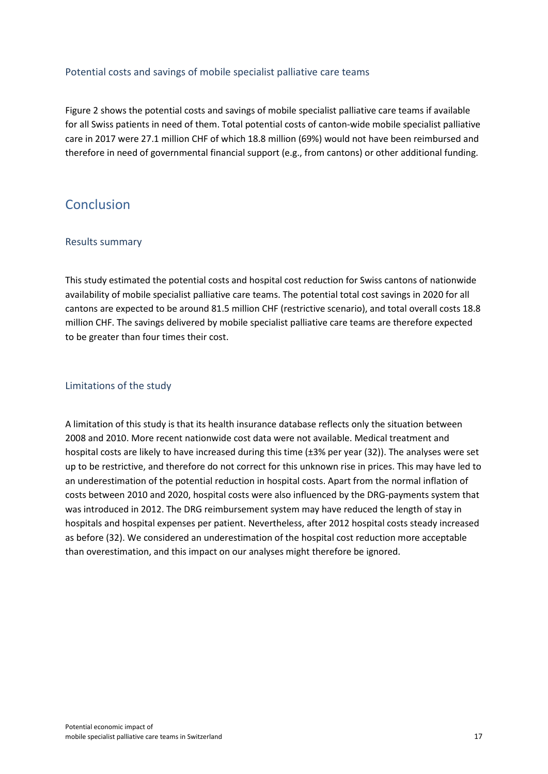#### <span id="page-17-0"></span>Potential costs and savings of mobile specialist palliative care teams

Figure 2 shows the potential costs and savings of mobile specialist palliative care teams if available for all Swiss patients in need of them. Total potential costs of canton-wide mobile specialist palliative care in 2017 were 27.1 million CHF of which 18.8 million (69%) would not have been reimbursed and therefore in need of governmental financial support (e.g., from cantons) or other additional funding.

## <span id="page-17-2"></span><span id="page-17-1"></span>Conclusion

#### Results summary

This study estimated the potential costs and hospital cost reduction for Swiss cantons of nationwide availability of mobile specialist palliative care teams. The potential total cost savings in 2020 for all cantons are expected to be around 81.5 million CHF (restrictive scenario), and total overall costs 18.8 million CHF. The savings delivered by mobile specialist palliative care teams are therefore expected to be greater than four times their cost.

#### <span id="page-17-3"></span>Limitations of the study

A limitation of this study is that its health insurance database reflects only the situation between 2008 and 2010. More recent nationwide cost data were not available. Medical treatment and hospital costs are likely to have increased during this time (±3% per year (32)). The analyses were set up to be restrictive, and therefore do not correct for this unknown rise in prices. This may have led to an underestimation of the potential reduction in hospital costs. Apart from the normal inflation of costs between 2010 and 2020, hospital costs were also influenced by the DRG-payments system that was introduced in 2012. The DRG reimbursement system may have reduced the length of stay in hospitals and hospital expenses per patient. Nevertheless, after 2012 hospital costs steady increased as before (32). We considered an underestimation of the hospital cost reduction more acceptable than overestimation, and this impact on our analyses might therefore be ignored.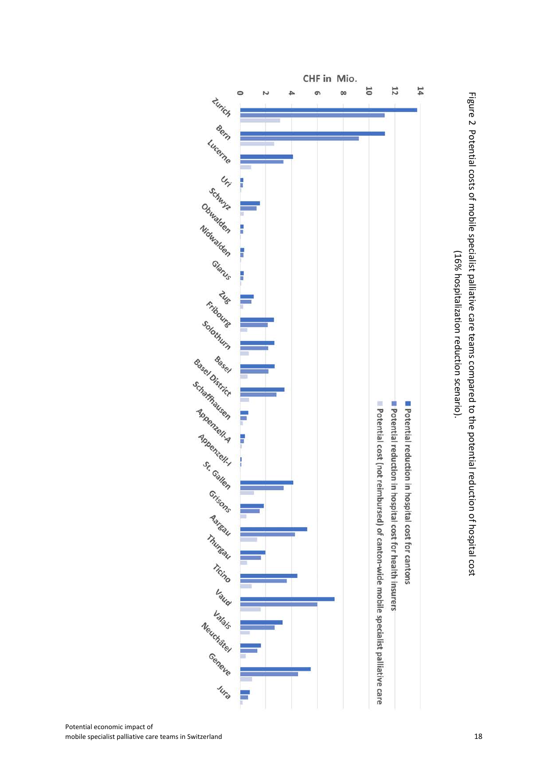CHF in Mio.  $\begin{CD} \mathcal{L} \mathcal{L} \mathcal{L} \mathcal{L} \mathcal{L} \mathcal{L} \mathcal{L} \mathcal{L} \mathcal{L} \mathcal{L} \mathcal{L} \mathcal{L} \mathcal{L} \mathcal{L} \mathcal{L} \mathcal{L} \mathcal{L} \mathcal{L} \mathcal{L} \mathcal{L} \mathcal{L} \mathcal{L} \mathcal{L} \mathcal{L} \mathcal{L} \mathcal{L} \mathcal{L} \mathcal{L} \mathcal{L} \mathcal{L} \mathcal{L} \mathcal{L} \mathcal{L} \mathcal{L} \mathcal{L} \mathcal{L$ 

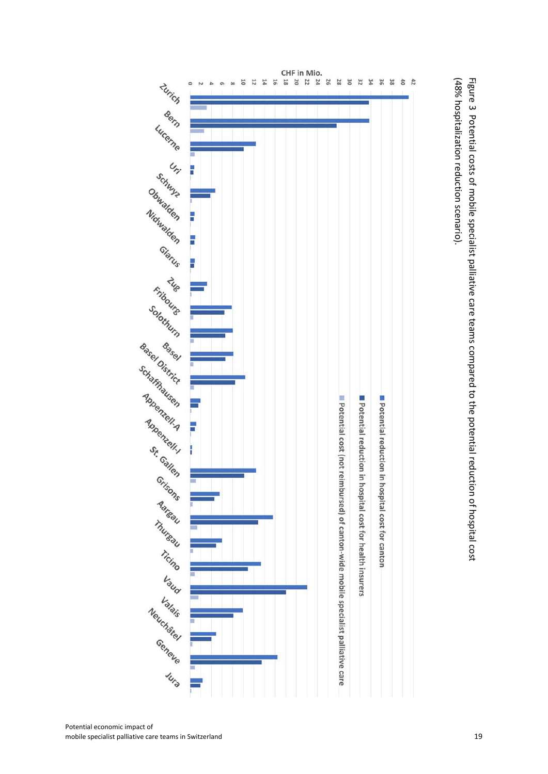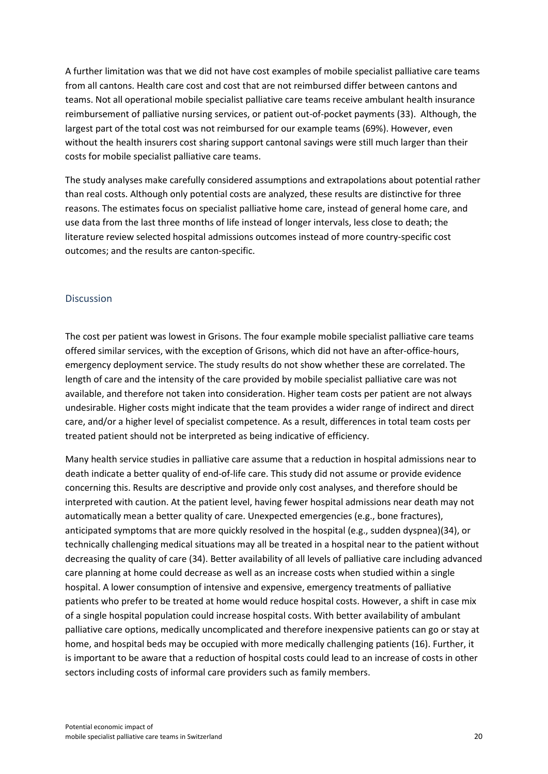A further limitation was that we did not have cost examples of mobile specialist palliative care teams from all cantons. Health care cost and cost that are not reimbursed differ between cantons and teams. Not all operational mobile specialist palliative care teams receive ambulant health insurance reimbursement of palliative nursing services, or patient out-of-pocket payments (33). Although, the largest part of the total cost was not reimbursed for our example teams (69%). However, even without the health insurers cost sharing support cantonal savings were still much larger than their costs for mobile specialist palliative care teams.

The study analyses make carefully considered assumptions and extrapolations about potential rather than real costs. Although only potential costs are analyzed, these results are distinctive for three reasons. The estimates focus on specialist palliative home care, instead of general home care, and use data from the last three months of life instead of longer intervals, less close to death; the literature review selected hospital admissions outcomes instead of more country-specific cost outcomes; and the results are canton-specific.

#### <span id="page-20-0"></span>**Discussion**

The cost per patient was lowest in Grisons. The four example mobile specialist palliative care teams offered similar services, with the exception of Grisons, which did not have an after-office-hours, emergency deployment service. The study results do not show whether these are correlated. The length of care and the intensity of the care provided by mobile specialist palliative care was not available, and therefore not taken into consideration. Higher team costs per patient are not always undesirable. Higher costs might indicate that the team provides a wider range of indirect and direct care, and/or a higher level of specialist competence. As a result, differences in total team costs per treated patient should not be interpreted as being indicative of efficiency.

Many health service studies in palliative care assume that a reduction in hospital admissions near to death indicate a better quality of end-of-life care. This study did not assume or provide evidence concerning this. Results are descriptive and provide only cost analyses, and therefore should be interpreted with caution. At the patient level, having fewer hospital admissions near death may not automatically mean a better quality of care. Unexpected emergencies (e.g., bone fractures), anticipated symptoms that are more quickly resolved in the hospital (e.g., sudden dyspnea)(34), or technically challenging medical situations may all be treated in a hospital near to the patient without decreasing the quality of care (34). Better availability of all levels of palliative care including advanced care planning at home could decrease as well as an increase costs when studied within a single hospital. A lower consumption of intensive and expensive, emergency treatments of palliative patients who prefer to be treated at home would reduce hospital costs. However, a shift in case mix of a single hospital population could increase hospital costs. With better availability of ambulant palliative care options, medically uncomplicated and therefore inexpensive patients can go or stay at home, and hospital beds may be occupied with more medically challenging patients (16). Further, it is important to be aware that a reduction of hospital costs could lead to an increase of costs in other sectors including costs of informal care providers such as family members.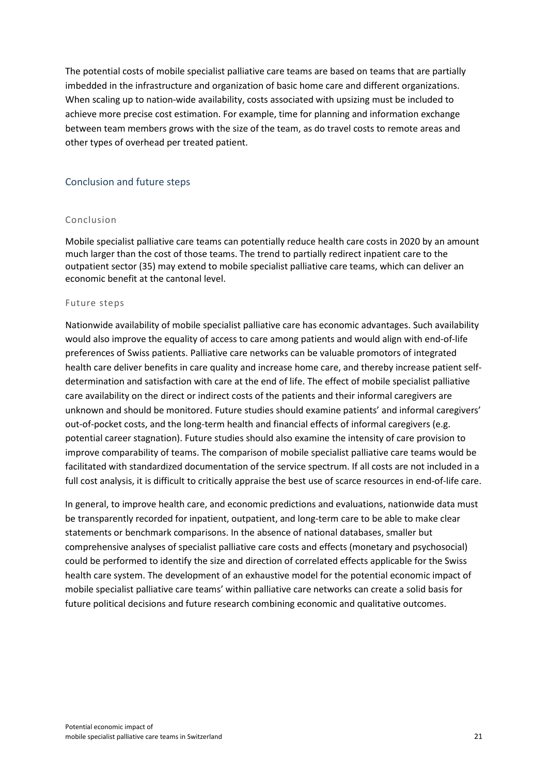The potential costs of mobile specialist palliative care teams are based on teams that are partially imbedded in the infrastructure and organization of basic home care and different organizations. When scaling up to nation-wide availability, costs associated with upsizing must be included to achieve more precise cost estimation. For example, time for planning and information exchange between team members grows with the size of the team, as do travel costs to remote areas and other types of overhead per treated patient.

#### <span id="page-21-0"></span>Conclusion and future steps

#### Conclusion

Mobile specialist palliative care teams can potentially reduce health care costs in 2020 by an amount much larger than the cost of those teams. The trend to partially redirect inpatient care to the outpatient sector (35) may extend to mobile specialist palliative care teams, which can deliver an economic benefit at the cantonal level.

#### Future steps

Nationwide availability of mobile specialist palliative care has economic advantages. Such availability would also improve the equality of access to care among patients and would align with end-of-life preferences of Swiss patients. Palliative care networks can be valuable promotors of integrated health care deliver benefits in care quality and increase home care, and thereby increase patient selfdetermination and satisfaction with care at the end of life. The effect of mobile specialist palliative care availability on the direct or indirect costs of the patients and their informal caregivers are unknown and should be monitored. Future studies should examine patients' and informal caregivers' out-of-pocket costs, and the long-term health and financial effects of informal caregivers (e.g. potential career stagnation). Future studies should also examine the intensity of care provision to improve comparability of teams. The comparison of mobile specialist palliative care teams would be facilitated with standardized documentation of the service spectrum. If all costs are not included in a full cost analysis, it is difficult to critically appraise the best use of scarce resources in end-of-life care.

In general, to improve health care, and economic predictions and evaluations, nationwide data must be transparently recorded for inpatient, outpatient, and long-term care to be able to make clear statements or benchmark comparisons. In the absence of national databases, smaller but comprehensive analyses of specialist palliative care costs and effects (monetary and psychosocial) could be performed to identify the size and direction of correlated effects applicable for the Swiss health care system. The development of an exhaustive model for the potential economic impact of mobile specialist palliative care teams' within palliative care networks can create a solid basis for future political decisions and future research combining economic and qualitative outcomes.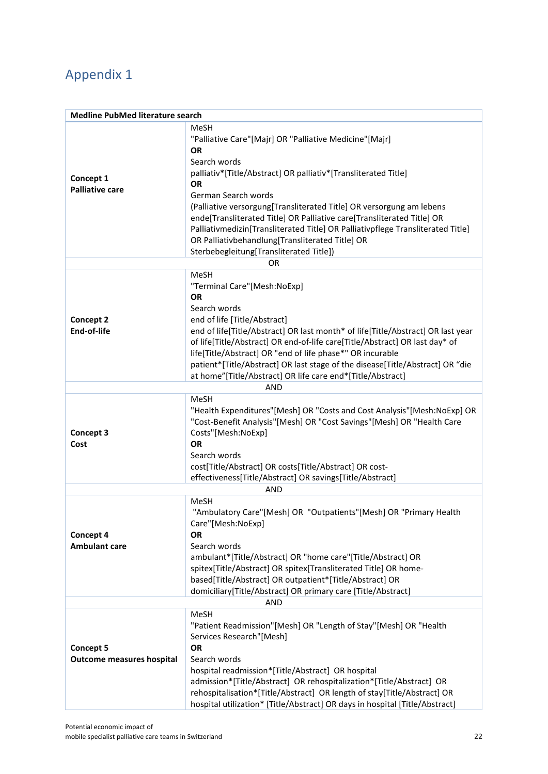# <span id="page-22-0"></span>Appendix 1

| <b>Medline PubMed literature search</b> |                                                                                 |  |  |  |  |  |  |
|-----------------------------------------|---------------------------------------------------------------------------------|--|--|--|--|--|--|
|                                         | MeSH                                                                            |  |  |  |  |  |  |
|                                         | "Palliative Care"[Majr] OR "Palliative Medicine"[Majr]                          |  |  |  |  |  |  |
|                                         | <b>OR</b>                                                                       |  |  |  |  |  |  |
|                                         | Search words                                                                    |  |  |  |  |  |  |
|                                         | palliativ*[Title/Abstract] OR palliativ*[Transliterated Title]                  |  |  |  |  |  |  |
| Concept 1                               | OR                                                                              |  |  |  |  |  |  |
| <b>Palliative care</b>                  | German Search words                                                             |  |  |  |  |  |  |
|                                         | (Palliative versorgung[Transliterated Title] OR versorgung am lebens            |  |  |  |  |  |  |
|                                         | ende[Transliterated Title] OR Palliative care[Transliterated Title] OR          |  |  |  |  |  |  |
|                                         | Palliativmedizin[Transliterated Title] OR Palliativpflege Transliterated Title] |  |  |  |  |  |  |
|                                         | OR Palliativbehandlung[Transliterated Title] OR                                 |  |  |  |  |  |  |
|                                         | Sterbebegleitung[Transliterated Title])                                         |  |  |  |  |  |  |
|                                         | OR                                                                              |  |  |  |  |  |  |
|                                         | <b>MeSH</b>                                                                     |  |  |  |  |  |  |
|                                         | "Terminal Care"[Mesh:NoExp]                                                     |  |  |  |  |  |  |
|                                         | <b>OR</b>                                                                       |  |  |  |  |  |  |
|                                         | Search words                                                                    |  |  |  |  |  |  |
| <b>Concept 2</b>                        | end of life [Title/Abstract]                                                    |  |  |  |  |  |  |
| End-of-life                             | end of life[Title/Abstract] OR last month* of life[Title/Abstract] OR last year |  |  |  |  |  |  |
|                                         | of life[Title/Abstract] OR end-of-life care[Title/Abstract] OR last day* of     |  |  |  |  |  |  |
|                                         | life[Title/Abstract] OR "end of life phase*" OR incurable                       |  |  |  |  |  |  |
|                                         | patient*[Title/Abstract] OR last stage of the disease[Title/Abstract] OR "die   |  |  |  |  |  |  |
|                                         | at home"[Title/Abstract] OR life care end*[Title/Abstract]                      |  |  |  |  |  |  |
|                                         | AND                                                                             |  |  |  |  |  |  |
|                                         | <b>MeSH</b>                                                                     |  |  |  |  |  |  |
|                                         | "Health Expenditures"[Mesh] OR "Costs and Cost Analysis"[Mesh:NoExp] OR         |  |  |  |  |  |  |
|                                         | "Cost-Benefit Analysis"[Mesh] OR "Cost Savings"[Mesh] OR "Health Care           |  |  |  |  |  |  |
| Concept 3                               | Costs"[Mesh:NoExp]                                                              |  |  |  |  |  |  |
| Cost                                    | <b>OR</b>                                                                       |  |  |  |  |  |  |
|                                         | Search words                                                                    |  |  |  |  |  |  |
|                                         | cost[Title/Abstract] OR costs[Title/Abstract] OR cost-                          |  |  |  |  |  |  |
|                                         | effectiveness[Title/Abstract] OR savings[Title/Abstract]                        |  |  |  |  |  |  |
| AND                                     |                                                                                 |  |  |  |  |  |  |
|                                         | MeSH                                                                            |  |  |  |  |  |  |
|                                         | "Ambulatory Care"[Mesh] OR "Outpatients"[Mesh] OR "Primary Health               |  |  |  |  |  |  |
|                                         | Care"[Mesh:NoExp]                                                               |  |  |  |  |  |  |
| <b>Concept 4</b>                        | OR                                                                              |  |  |  |  |  |  |
| <b>Ambulant care</b>                    | Search words                                                                    |  |  |  |  |  |  |
|                                         | ambulant*[Title/Abstract] OR "home care"[Title/Abstract] OR                     |  |  |  |  |  |  |
|                                         | spitex[Title/Abstract] OR spitex[Transliterated Title] OR home-                 |  |  |  |  |  |  |
|                                         | based[Title/Abstract] OR outpatient*[Title/Abstract] OR                         |  |  |  |  |  |  |
|                                         | domiciliary[Title/Abstract] OR primary care [Title/Abstract]                    |  |  |  |  |  |  |
|                                         | <b>AND</b>                                                                      |  |  |  |  |  |  |
|                                         | MeSH                                                                            |  |  |  |  |  |  |
|                                         | "Patient Readmission"[Mesh] OR "Length of Stay"[Mesh] OR "Health                |  |  |  |  |  |  |
|                                         | Services Research"[Mesh]                                                        |  |  |  |  |  |  |
| <b>Concept 5</b>                        | OR                                                                              |  |  |  |  |  |  |
| <b>Outcome measures hospital</b>        | Search words                                                                    |  |  |  |  |  |  |
|                                         | hospital readmission*[Title/Abstract] OR hospital                               |  |  |  |  |  |  |
|                                         | admission*[Title/Abstract] OR rehospitalization*[Title/Abstract] OR             |  |  |  |  |  |  |
|                                         | rehospitalisation*[Title/Abstract] OR length of stay[Title/Abstract] OR         |  |  |  |  |  |  |
|                                         | hospital utilization* [Title/Abstract] OR days in hospital [Title/Abstract]     |  |  |  |  |  |  |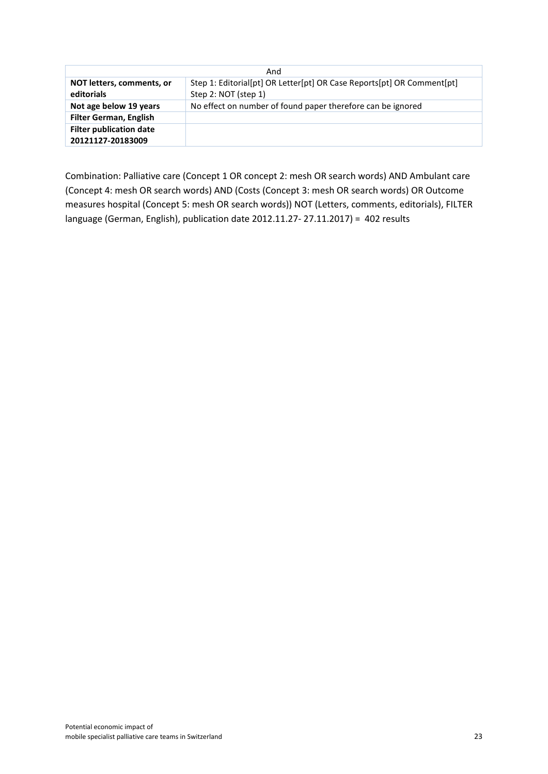| And                                     |                                                                                                |  |  |  |  |  |
|-----------------------------------------|------------------------------------------------------------------------------------------------|--|--|--|--|--|
| NOT letters, comments, or<br>editorials | Step 1: Editorial[pt] OR Letter[pt] OR Case Reports[pt] OR Comment[pt]<br>Step 2: NOT (step 1) |  |  |  |  |  |
| Not age below 19 years                  | No effect on number of found paper therefore can be ignored                                    |  |  |  |  |  |
| <b>Filter German, English</b>           |                                                                                                |  |  |  |  |  |
| <b>Filter publication date</b>          |                                                                                                |  |  |  |  |  |
| 20121127-20183009                       |                                                                                                |  |  |  |  |  |

Combination: Palliative care (Concept 1 OR concept 2: mesh OR search words) AND Ambulant care (Concept 4: mesh OR search words) AND (Costs (Concept 3: mesh OR search words) OR Outcome measures hospital (Concept 5: mesh OR search words)) NOT (Letters, comments, editorials), FILTER language (German, English), publication date 2012.11.27- 27.11.2017) = 402 results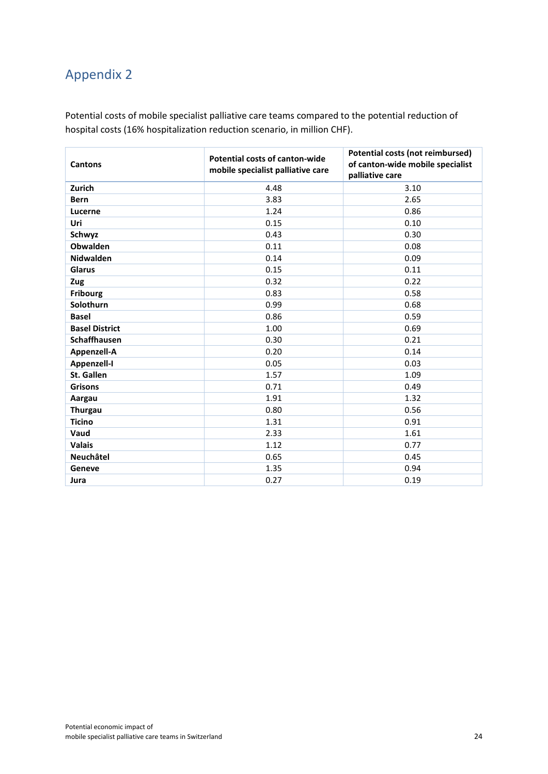# <span id="page-24-0"></span>Appendix 2

Potential costs of mobile specialist palliative care teams compared to the potential reduction of hospital costs (16% hospitalization reduction scenario, in million CHF).

| <b>Cantons</b>        | Potential costs of canton-wide<br>mobile specialist palliative care | Potential costs (not reimbursed)<br>of canton-wide mobile specialist<br>palliative care |
|-----------------------|---------------------------------------------------------------------|-----------------------------------------------------------------------------------------|
| Zurich                | 4.48                                                                | 3.10                                                                                    |
| <b>Bern</b>           | 3.83                                                                | 2.65                                                                                    |
| Lucerne               | 1.24                                                                | 0.86                                                                                    |
| Uri                   | 0.15                                                                | 0.10                                                                                    |
| Schwyz                | 0.43                                                                | 0.30                                                                                    |
| Obwalden              | 0.11                                                                | 0.08                                                                                    |
| <b>Nidwalden</b>      | 0.14                                                                | 0.09                                                                                    |
| Glarus                | 0.15                                                                | 0.11                                                                                    |
| Zug                   | 0.32                                                                | 0.22                                                                                    |
| <b>Fribourg</b>       | 0.83                                                                | 0.58                                                                                    |
| Solothurn             | 0.99                                                                | 0.68                                                                                    |
| <b>Basel</b>          | 0.86                                                                | 0.59                                                                                    |
| <b>Basel District</b> | 1.00                                                                | 0.69                                                                                    |
| <b>Schaffhausen</b>   | 0.30                                                                | 0.21                                                                                    |
| Appenzell-A           | 0.20                                                                | 0.14                                                                                    |
| Appenzell-I           | 0.05                                                                | 0.03                                                                                    |
| St. Gallen            | 1.57                                                                | 1.09                                                                                    |
| <b>Grisons</b>        | 0.71                                                                | 0.49                                                                                    |
| Aargau                | 1.91                                                                | 1.32                                                                                    |
| <b>Thurgau</b>        | 0.80                                                                | 0.56                                                                                    |
| <b>Ticino</b>         | 1.31                                                                | 0.91                                                                                    |
| Vaud                  | 2.33                                                                | 1.61                                                                                    |
| <b>Valais</b>         | 1.12                                                                | 0.77                                                                                    |
| Neuchâtel             | 0.65                                                                | 0.45                                                                                    |
| Geneve                | 1.35                                                                | 0.94                                                                                    |
| Jura                  | 0.27                                                                | 0.19                                                                                    |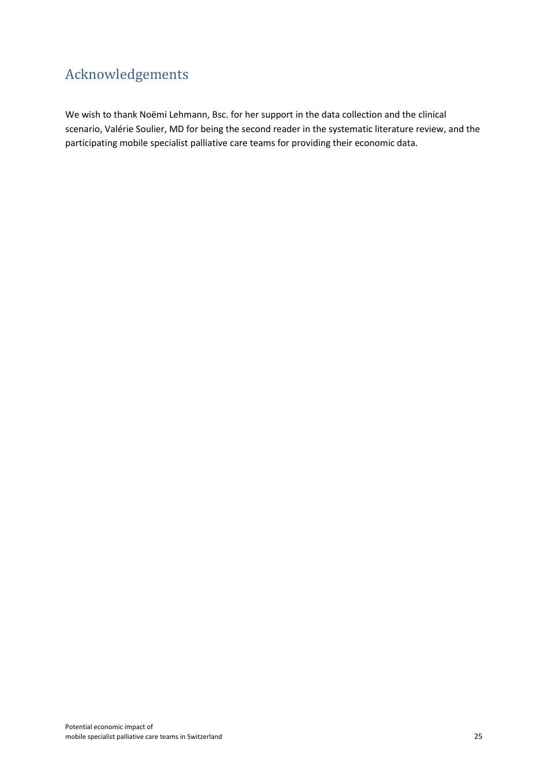# <span id="page-25-0"></span>Acknowledgements

We wish to thank Noëmi Lehmann, Bsc. for her support in the data collection and the clinical scenario, Valérie Soulier, MD for being the second reader in the systematic literature review, and the participating mobile specialist palliative care teams for providing their economic data.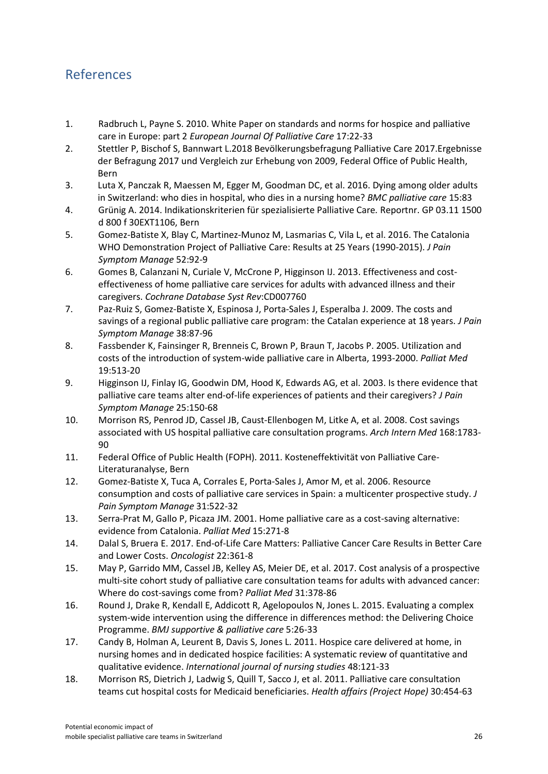## <span id="page-26-0"></span>References

- 1. Radbruch L, Payne S. 2010. White Paper on standards and norms for hospice and palliative care in Europe: part 2 *European Journal Of Palliative Care* 17:22-33
- 2. Stettler P, Bischof S, Bannwart L.2018 Bevölkerungsbefragung Palliative Care 2017.Ergebnisse der Befragung 2017 und Vergleich zur Erhebung von 2009, Federal Office of Public Health, Bern
- 3. Luta X, Panczak R, Maessen M, Egger M, Goodman DC, et al. 2016. Dying among older adults in Switzerland: who dies in hospital, who dies in a nursing home? *BMC palliative care* 15:83
- 4. Grünig A. 2014. Indikationskriterien für spezialisierte Palliative Care*.* Reportnr. GP 03.11 1500 d 800 f 30EXT1106, Bern
- 5. Gomez-Batiste X, Blay C, Martinez-Munoz M, Lasmarias C, Vila L, et al. 2016. The Catalonia WHO Demonstration Project of Palliative Care: Results at 25 Years (1990-2015). *J Pain Symptom Manage* 52:92-9
- 6. Gomes B, Calanzani N, Curiale V, McCrone P, Higginson IJ. 2013. Effectiveness and costeffectiveness of home palliative care services for adults with advanced illness and their caregivers. *Cochrane Database Syst Rev*:CD007760
- 7. Paz-Ruiz S, Gomez-Batiste X, Espinosa J, Porta-Sales J, Esperalba J. 2009. The costs and savings of a regional public palliative care program: the Catalan experience at 18 years. *J Pain Symptom Manage* 38:87-96
- 8. Fassbender K, Fainsinger R, Brenneis C, Brown P, Braun T, Jacobs P. 2005. Utilization and costs of the introduction of system-wide palliative care in Alberta, 1993-2000. *Palliat Med* 19:513-20
- 9. Higginson IJ, Finlay IG, Goodwin DM, Hood K, Edwards AG, et al. 2003. Is there evidence that palliative care teams alter end-of-life experiences of patients and their caregivers? *J Pain Symptom Manage* 25:150-68
- 10. Morrison RS, Penrod JD, Cassel JB, Caust-Ellenbogen M, Litke A, et al. 2008. Cost savings associated with US hospital palliative care consultation programs. *Arch Intern Med* 168:1783- 90
- 11. Federal Office of Public Health (FOPH). 2011. Kosteneffektivität von Palliative Care-Literaturanalyse, Bern
- 12. Gomez-Batiste X, Tuca A, Corrales E, Porta-Sales J, Amor M, et al. 2006. Resource consumption and costs of palliative care services in Spain: a multicenter prospective study. *J Pain Symptom Manage* 31:522-32
- 13. Serra-Prat M, Gallo P, Picaza JM. 2001. Home palliative care as a cost-saving alternative: evidence from Catalonia. *Palliat Med* 15:271-8
- 14. Dalal S, Bruera E. 2017. End-of-Life Care Matters: Palliative Cancer Care Results in Better Care and Lower Costs. *Oncologist* 22:361-8
- 15. May P, Garrido MM, Cassel JB, Kelley AS, Meier DE, et al. 2017. Cost analysis of a prospective multi-site cohort study of palliative care consultation teams for adults with advanced cancer: Where do cost-savings come from? *Palliat Med* 31:378-86
- 16. Round J, Drake R, Kendall E, Addicott R, Agelopoulos N, Jones L. 2015. Evaluating a complex system-wide intervention using the difference in differences method: the Delivering Choice Programme. *BMJ supportive & palliative care* 5:26-33
- 17. Candy B, Holman A, Leurent B, Davis S, Jones L. 2011. Hospice care delivered at home, in nursing homes and in dedicated hospice facilities: A systematic review of quantitative and qualitative evidence. *International journal of nursing studies* 48:121-33
- 18. Morrison RS, Dietrich J, Ladwig S, Quill T, Sacco J, et al. 2011. Palliative care consultation teams cut hospital costs for Medicaid beneficiaries. *Health affairs (Project Hope)* 30:454-63